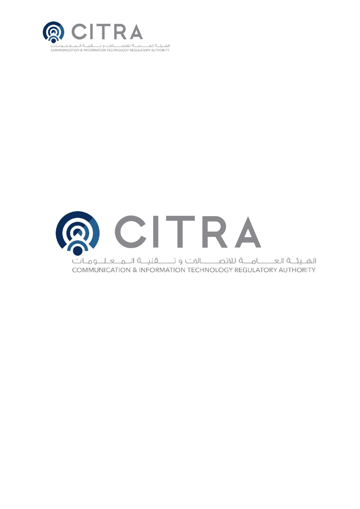

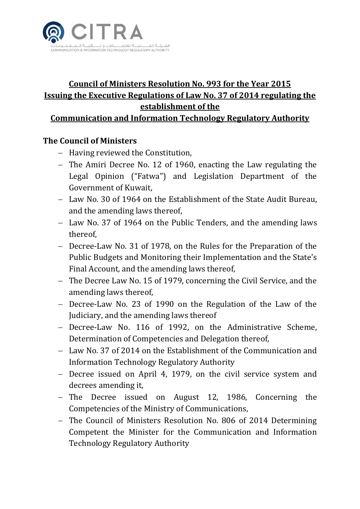

# **Council of Ministers Resolution No. 993 for the Year 2015 Issuing the Executive Regulations of Law No. 37 of 2014 regulating the establishment of the**

**Communication and Information Technology Regulatory Authority**

#### **The Council of Ministers**

- Having reviewed the Constitution,
- The Amiri Decree No. 12 of 1960, enacting the Law regulating the Legal Opinion ("Fatwa") and Legislation Department of the Government of Kuwait,
- Law No. 30 of 1964 on the Establishment of the State Audit Bureau, and the amending laws thereof,
- Law No. 37 of 1964 on the Public Tenders, and the amending laws thereof,
- Decree-Law No. 31 of 1978, on the Rules for the Preparation of the Public Budgets and Monitoring their Implementation and the State's Final Account, and the amending laws thereof,
- The Decree Law No. 15 of 1979, concerning the Civil Service, and the amending laws thereof,
- Decree-Law No. 23 of 1990 on the Regulation of the Law of the Judiciary, and the amending laws thereof
- Decree-Law No. 116 of 1992, on the Administrative Scheme, Determination of Competencies and Delegation thereof,
- Law No. 37 of 2014 on the Establishment of the Communication and Information Technology Regulatory Authority
- Decree issued on April 4, 1979, on the civil service system and decrees amending it,
- The Decree issued on August 12, 1986, Concerning the Competencies of the Ministry of Communications,
- The Council of Ministers Resolution No. 806 of 2014 Determining Competent the Minister for the Communication and Information Technology Regulatory Authority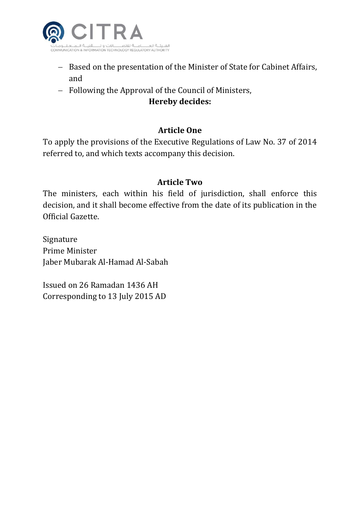

- Based on the presentation of the Minister of State for Cabinet Affairs, and
- Following the Approval of the Council of Ministers,

#### **Hereby decides:**

## **Article One**

To apply the provisions of the Executive Regulations of Law No. 37 of 2014 referred to, and which texts accompany this decision.

#### **Article Two**

The ministers, each within his field of jurisdiction, shall enforce this decision, and it shall become effective from the date of its publication in the Official Gazette.

Signature Prime Minister Jaber Mubarak Al-Hamad Al-Sabah

Issued on 26 Ramadan 1436 AH Corresponding to 13 July 2015 AD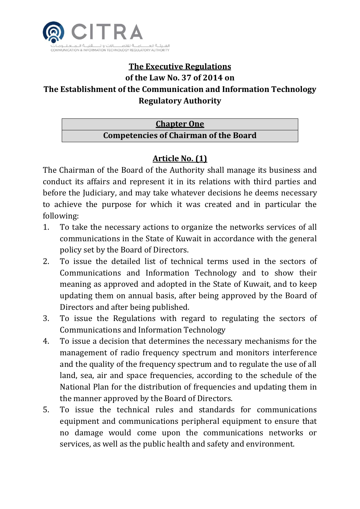

# **The Executive Regulations**

#### **of the Law No. 37 of 2014 on**

# **The Establishment of the Communication and Information Technology Regulatory Authority**

# **Chapter One Competencies of Chairman of the Board**

# **Article No. (1)**

The Chairman of the Board of the Authority shall manage its business and conduct its affairs and represent it in its relations with third parties and before the Judiciary, and may take whatever decisions he deems necessary to achieve the purpose for which it was created and in particular the following:

- 1. To take the necessary actions to organize the networks services of all communications in the State of Kuwait in accordance with the general policy set by the Board of Directors.
- 2. To issue the detailed list of technical terms used in the sectors of Communications and Information Technology and to show their meaning as approved and adopted in the State of Kuwait, and to keep updating them on annual basis, after being approved by the Board of Directors and after being published.
- 3. To issue the Regulations with regard to regulating the sectors of Communications and Information Technology
- 4. To issue a decision that determines the necessary mechanisms for the management of radio frequency spectrum and monitors interference and the quality of the frequency spectrum and to regulate the use of all land, sea, air and space frequencies, according to the schedule of the National Plan for the distribution of frequencies and updating them in the manner approved by the Board of Directors.
- 5. To issue the technical rules and standards for communications equipment and communications peripheral equipment to ensure that no damage would come upon the communications networks or services, as well as the public health and safety and environment.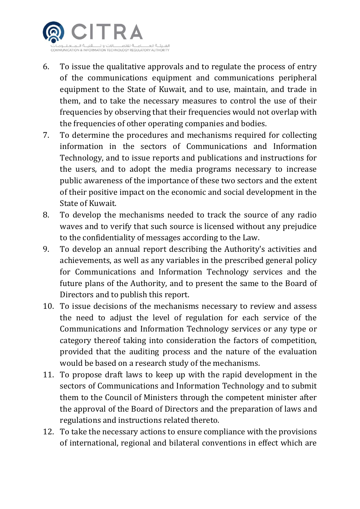

- 6. To issue the qualitative approvals and to regulate the process of entry of the communications equipment and communications peripheral equipment to the State of Kuwait, and to use, maintain, and trade in them, and to take the necessary measures to control the use of their frequencies by observing that their frequencies would not overlap with the frequencies of other operating companies and bodies.
- 7. To determine the procedures and mechanisms required for collecting information in the sectors of Communications and Information Technology, and to issue reports and publications and instructions for the users, and to adopt the media programs necessary to increase public awareness of the importance of these two sectors and the extent of their positive impact on the economic and social development in the State of Kuwait.
- 8. To develop the mechanisms needed to track the source of any radio waves and to verify that such source is licensed without any prejudice to the confidentiality of messages according to the Law.
- 9. To develop an annual report describing the Authority's activities and achievements, as well as any variables in the prescribed general policy for Communications and Information Technology services and the future plans of the Authority, and to present the same to the Board of Directors and to publish this report.
- 10. To issue decisions of the mechanisms necessary to review and assess the need to adjust the level of regulation for each service of the Communications and Information Technology services or any type or category thereof taking into consideration the factors of competition, provided that the auditing process and the nature of the evaluation would be based on a research study of the mechanisms.
- 11. To propose draft laws to keep up with the rapid development in the sectors of Communications and Information Technology and to submit them to the Council of Ministers through the competent minister after the approval of the Board of Directors and the preparation of laws and regulations and instructions related thereto.
- 12. To take the necessary actions to ensure compliance with the provisions of international, regional and bilateral conventions in effect which are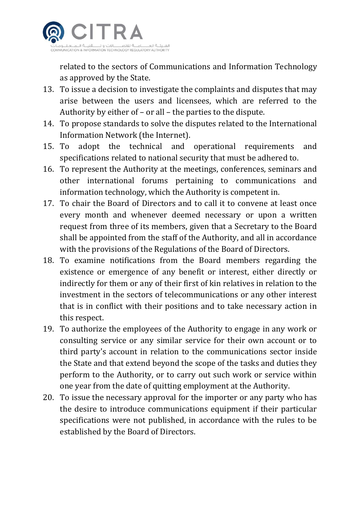

related to the sectors of Communications and Information Technology as approved by the State.

- 13. To issue a decision to investigate the complaints and disputes that may arise between the users and licensees, which are referred to the Authority by either of – or all – the parties to the dispute.
- 14. To propose standards to solve the disputes related to the International Information Network (the Internet).
- 15. To adopt the technical and operational requirements and specifications related to national security that must be adhered to.
- 16. To represent the Authority at the meetings, conferences, seminars and other international forums pertaining to communications and information technology, which the Authority is competent in.
- 17. To chair the Board of Directors and to call it to convene at least once every month and whenever deemed necessary or upon a written request from three of its members, given that a Secretary to the Board shall be appointed from the staff of the Authority, and all in accordance with the provisions of the Regulations of the Board of Directors.
- 18. To examine notifications from the Board members regarding the existence or emergence of any benefit or interest, either directly or indirectly for them or any of their first of kin relatives in relation to the investment in the sectors of telecommunications or any other interest that is in conflict with their positions and to take necessary action in this respect.
- 19. To authorize the employees of the Authority to engage in any work or consulting service or any similar service for their own account or to third party's account in relation to the communications sector inside the State and that extend beyond the scope of the tasks and duties they perform to the Authority, or to carry out such work or service within one year from the date of quitting employment at the Authority.
- 20. To issue the necessary approval for the importer or any party who has the desire to introduce communications equipment if their particular specifications were not published, in accordance with the rules to be established by the Board of Directors.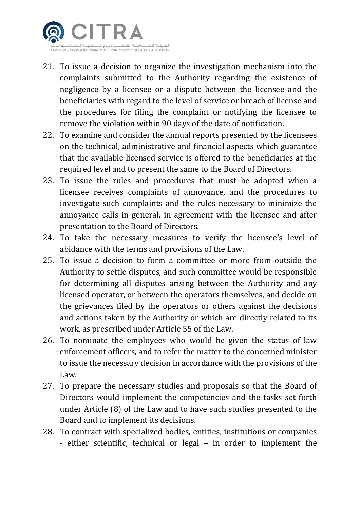

- 21. To issue a decision to organize the investigation mechanism into the complaints submitted to the Authority regarding the existence of negligence by a licensee or a dispute between the licensee and the beneficiaries with regard to the level of service or breach of license and the procedures for filing the complaint or notifying the licensee to remove the violation within 90 days of the date of notification.
- 22. To examine and consider the annual reports presented by the licensees on the technical, administrative and financial aspects which guarantee that the available licensed service is offered to the beneficiaries at the required level and to present the same to the Board of Directors.
- 23. To issue the rules and procedures that must be adopted when a licensee receives complaints of annoyance, and the procedures to investigate such complaints and the rules necessary to minimize the annoyance calls in general, in agreement with the licensee and after presentation to the Board of Directors.
- 24. To take the necessary measures to verify the licensee's level of abidance with the terms and provisions of the Law.
- 25. To issue a decision to form a committee or more from outside the Authority to settle disputes, and such committee would be responsible for determining all disputes arising between the Authority and any licensed operator, or between the operators themselves, and decide on the grievances filed by the operators or others against the decisions and actions taken by the Authority or which are directly related to its work, as prescribed under Article 55 of the Law.
- 26. To nominate the employees who would be given the status of law enforcement officers, and to refer the matter to the concerned minister to issue the necessary decision in accordance with the provisions of the Law.
- 27. To prepare the necessary studies and proposals so that the Board of Directors would implement the competencies and the tasks set forth under Article (8) of the Law and to have such studies presented to the Board and to implement its decisions.
- 28. To contract with specialized bodies, entities, institutions or companies - either scientific, technical or legal – in order to implement the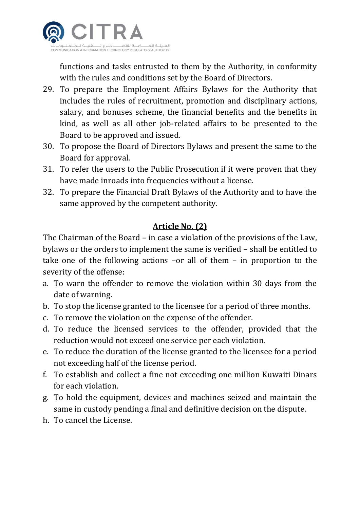

functions and tasks entrusted to them by the Authority, in conformity with the rules and conditions set by the Board of Directors.

- 29. To prepare the Employment Affairs Bylaws for the Authority that includes the rules of recruitment, promotion and disciplinary actions, salary, and bonuses scheme, the financial benefits and the benefits in kind, as well as all other job-related affairs to be presented to the Board to be approved and issued.
- 30. To propose the Board of Directors Bylaws and present the same to the Board for approval.
- 31. To refer the users to the Public Prosecution if it were proven that they have made inroads into frequencies without a license.
- 32. To prepare the Financial Draft Bylaws of the Authority and to have the same approved by the competent authority.

#### **Article No. (2)**

The Chairman of the Board – in case a violation of the provisions of the Law, bylaws or the orders to implement the same is verified – shall be entitled to take one of the following actions –or all of them – in proportion to the severity of the offense:

- a. To warn the offender to remove the violation within 30 days from the date of warning.
- b. To stop the license granted to the licensee for a period of three months.
- c. To remove the violation on the expense of the offender.
- d. To reduce the licensed services to the offender, provided that the reduction would not exceed one service per each violation.
- e. To reduce the duration of the license granted to the licensee for a period not exceeding half of the license period.
- f. To establish and collect a fine not exceeding one million Kuwaiti Dinars for each violation.
- g. To hold the equipment, devices and machines seized and maintain the same in custody pending a final and definitive decision on the dispute.
- h. To cancel the License.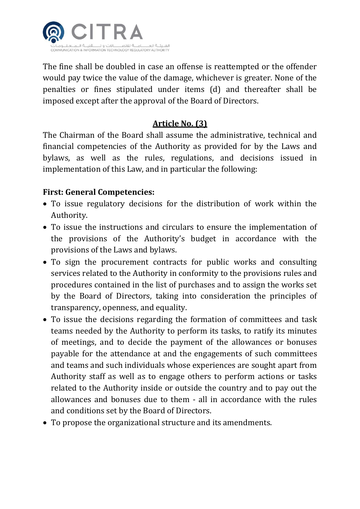

The fine shall be doubled in case an offense is reattempted or the offender would pay twice the value of the damage, whichever is greater. None of the penalties or fines stipulated under items (d) and thereafter shall be imposed except after the approval of the Board of Directors.

#### **Article No. (3)**

The Chairman of the Board shall assume the administrative, technical and financial competencies of the Authority as provided for by the Laws and bylaws, as well as the rules, regulations, and decisions issued in implementation of this Law, and in particular the following:

#### **First: General Competencies:**

- To issue regulatory decisions for the distribution of work within the Authority.
- To issue the instructions and circulars to ensure the implementation of the provisions of the Authority's budget in accordance with the provisions of the Laws and bylaws.
- To sign the procurement contracts for public works and consulting services related to the Authority in conformity to the provisions rules and procedures contained in the list of purchases and to assign the works set by the Board of Directors, taking into consideration the principles of transparency, openness, and equality.
- To issue the decisions regarding the formation of committees and task teams needed by the Authority to perform its tasks, to ratify its minutes of meetings, and to decide the payment of the allowances or bonuses payable for the attendance at and the engagements of such committees and teams and such individuals whose experiences are sought apart from Authority staff as well as to engage others to perform actions or tasks related to the Authority inside or outside the country and to pay out the allowances and bonuses due to them - all in accordance with the rules and conditions set by the Board of Directors.
- To propose the organizational structure and its amendments.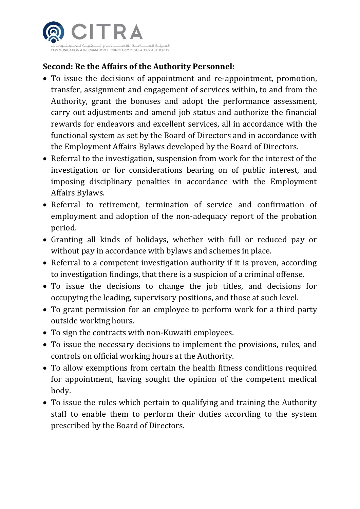

## **Second: Re the Affairs of the Authority Personnel:**

- To issue the decisions of appointment and re-appointment, promotion, transfer, assignment and engagement of services within, to and from the Authority, grant the bonuses and adopt the performance assessment, carry out adjustments and amend job status and authorize the financial rewards for endeavors and excellent services, all in accordance with the functional system as set by the Board of Directors and in accordance with the Employment Affairs Bylaws developed by the Board of Directors.
- Referral to the investigation, suspension from work for the interest of the investigation or for considerations bearing on of public interest, and imposing disciplinary penalties in accordance with the Employment Affairs Bylaws.
- Referral to retirement, termination of service and confirmation of employment and adoption of the non-adequacy report of the probation period.
- Granting all kinds of holidays, whether with full or reduced pay or without pay in accordance with bylaws and schemes in place.
- Referral to a competent investigation authority if it is proven, according to investigation findings, that there is a suspicion of a criminal offense.
- To issue the decisions to change the job titles, and decisions for occupying the leading, supervisory positions, and those at such level.
- To grant permission for an employee to perform work for a third party outside working hours.
- To sign the contracts with non-Kuwaiti employees.
- To issue the necessary decisions to implement the provisions, rules, and controls on official working hours at the Authority.
- To allow exemptions from certain the health fitness conditions required for appointment, having sought the opinion of the competent medical body.
- To issue the rules which pertain to qualifying and training the Authority staff to enable them to perform their duties according to the system prescribed by the Board of Directors.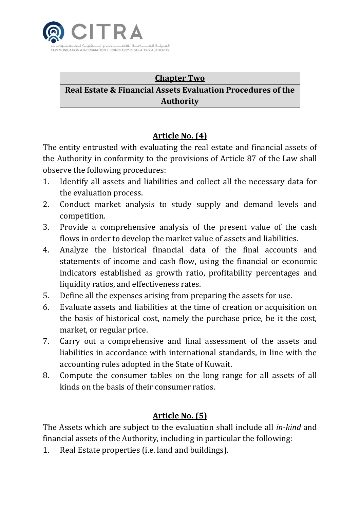

# **Chapter Two Real Estate & Financial Assets Evaluation Procedures of the Authority**

## **Article No. (4)**

The entity entrusted with evaluating the real estate and financial assets of the Authority in conformity to the provisions of Article 87 of the Law shall observe the following procedures:

- 1. Identify all assets and liabilities and collect all the necessary data for the evaluation process.
- 2. Conduct market analysis to study supply and demand levels and competition.
- 3. Provide a comprehensive analysis of the present value of the cash flows in order to develop the market value of assets and liabilities.
- 4. Analyze the historical financial data of the final accounts and statements of income and cash flow, using the financial or economic indicators established as growth ratio, profitability percentages and liquidity ratios, and effectiveness rates.
- 5. Define all the expenses arising from preparing the assets for use.
- 6. Evaluate assets and liabilities at the time of creation or acquisition on the basis of historical cost, namely the purchase price, be it the cost, market, or regular price.
- 7. Carry out a comprehensive and final assessment of the assets and liabilities in accordance with international standards, in line with the accounting rules adopted in the State of Kuwait.
- 8. Compute the consumer tables on the long range for all assets of all kinds on the basis of their consumer ratios.

## **Article No. (5)**

The Assets which are subject to the evaluation shall include all *in-kind* and financial assets of the Authority, including in particular the following:

1. Real Estate properties (i.e. land and buildings).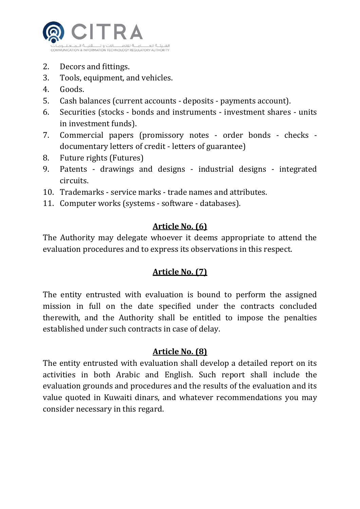

- 2. Decors and fittings.
- 3. Tools, equipment, and vehicles.
- 4. Goods.
- 5. Cash balances (current accounts deposits payments account).
- 6. Securities (stocks bonds and instruments investment shares units in investment funds).
- 7. Commercial papers (promissory notes order bonds checks documentary letters of credit - letters of guarantee)
- 8. Future rights (Futures)
- 9. Patents drawings and designs industrial designs integrated circuits.
- 10. Trademarks service marks trade names and attributes.
- 11. Computer works (systems software databases).

#### **Article No. (6)**

The Authority may delegate whoever it deems appropriate to attend the evaluation procedures and to express its observations in this respect.

#### **Article No. (7)**

The entity entrusted with evaluation is bound to perform the assigned mission in full on the date specified under the contracts concluded therewith, and the Authority shall be entitled to impose the penalties established under such contracts in case of delay.

#### **Article No. (8)**

The entity entrusted with evaluation shall develop a detailed report on its activities in both Arabic and English. Such report shall include the evaluation grounds and procedures and the results of the evaluation and its value quoted in Kuwaiti dinars, and whatever recommendations you may consider necessary in this regard.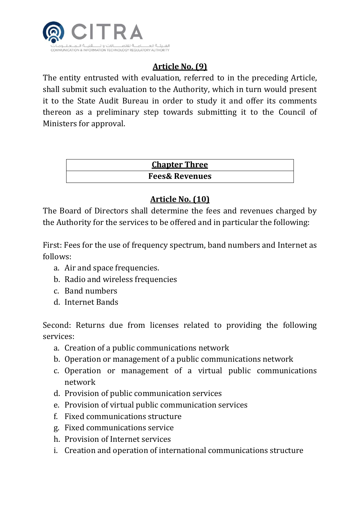

# **Article No. (9)**

The entity entrusted with evaluation, referred to in the preceding Article, shall submit such evaluation to the Authority, which in turn would present it to the State Audit Bureau in order to study it and offer its comments thereon as a preliminary step towards submitting it to the Council of Ministers for approval.

#### **Chapter Three Fees& Revenues**

## **Article No. (10)**

The Board of Directors shall determine the fees and revenues charged by the Authority for the services to be offered and in particular the following:

First: Fees for the use of frequency spectrum, band numbers and Internet as follows:

- a. Air and space frequencies.
- b. Radio and wireless frequencies
- c. Band numbers
- d. Internet Bands

Second: Returns due from licenses related to providing the following services:

- a. Creation of a public communications network
- b. Operation or management of a public communications network
- c. Operation or management of a virtual public communications network
- d. Provision of public communication services
- e. Provision of virtual public communication services
- f. Fixed communications structure
- g. Fixed communications service
- h. Provision of Internet services
- i. Creation and operation of international communications structure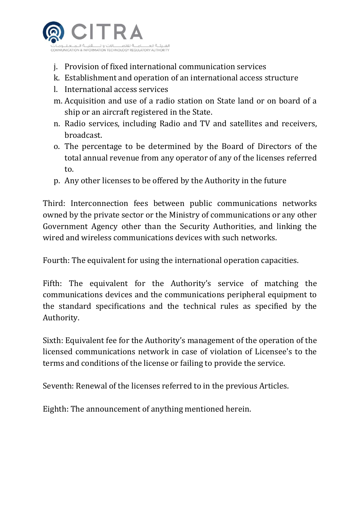

- j. Provision of fixed international communication services
- k. Establishment and operation of an international access structure
- l. International access services
- m. Acquisition and use of a radio station on State land or on board of a ship or an aircraft registered in the State.
- n. Radio services, including Radio and TV and satellites and receivers, broadcast.
- o. The percentage to be determined by the Board of Directors of the total annual revenue from any operator of any of the licenses referred to.
- p. Any other licenses to be offered by the Authority in the future

Third: Interconnection fees between public communications networks owned by the private sector or the Ministry of communications or any other Government Agency other than the Security Authorities, and linking the wired and wireless communications devices with such networks.

Fourth: The equivalent for using the international operation capacities.

Fifth: The equivalent for the Authority's service of matching the communications devices and the communications peripheral equipment to the standard specifications and the technical rules as specified by the Authority.

Sixth: Equivalent fee for the Authority's management of the operation of the licensed communications network in case of violation of Licensee's to the terms and conditions of the license or failing to provide the service.

Seventh: Renewal of the licenses referred to in the previous Articles.

Eighth: The announcement of anything mentioned herein.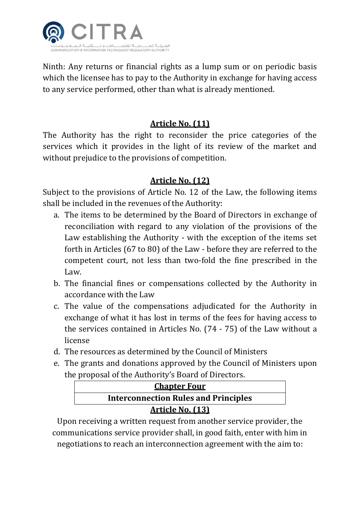

Ninth: Any returns or financial rights as a lump sum or on periodic basis which the licensee has to pay to the Authority in exchange for having access to any service performed, other than what is already mentioned.

#### **Article No. (11)**

The Authority has the right to reconsider the price categories of the services which it provides in the light of its review of the market and without prejudice to the provisions of competition.

#### **Article No. (12)**

Subject to the provisions of Article No. 12 of the Law, the following items shall be included in the revenues of the Authority:

- a. The items to be determined by the Board of Directors in exchange of reconciliation with regard to any violation of the provisions of the Law establishing the Authority - with the exception of the items set forth in Articles (67 to 80) of the Law - before they are referred to the competent court, not less than two-fold the fine prescribed in the Law.
- b. The financial fines or compensations collected by the Authority in accordance with the Law
- c. The value of the compensations adjudicated for the Authority in exchange of what it has lost in terms of the fees for having access to the services contained in Articles No. (74 - 75) of the Law without a license
- d. The resources as determined by the Council of Ministers
- e. The grants and donations approved by the Council of Ministers upon the proposal of the Authority's Board of Directors.

| <b>Chapter Four</b>                         |  |  |
|---------------------------------------------|--|--|
| <b>Interconnection Rules and Principles</b> |  |  |
| <b>Article No. (13)</b>                     |  |  |

Upon receiving a written request from another service provider, the communications service provider shall, in good faith, enter with him in negotiations to reach an interconnection agreement with the aim to: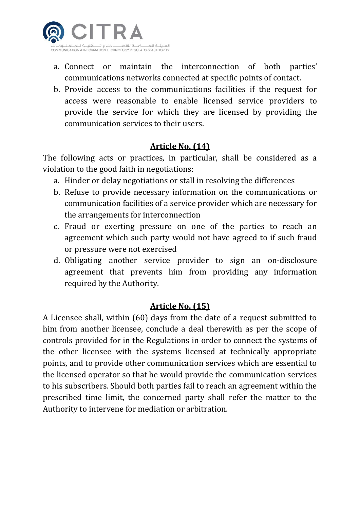

- a. Connect or maintain the interconnection of both parties' communications networks connected at specific points of contact.
- b. Provide access to the communications facilities if the request for access were reasonable to enable licensed service providers to provide the service for which they are licensed by providing the communication services to their users.

#### **Article No. (14)**

The following acts or practices, in particular, shall be considered as a violation to the good faith in negotiations:

- a. Hinder or delay negotiations or stall in resolving the differences
- b. Refuse to provide necessary information on the communications or communication facilities of a service provider which are necessary for the arrangements for interconnection
- c. Fraud or exerting pressure on one of the parties to reach an agreement which such party would not have agreed to if such fraud or pressure were not exercised
- d. Obligating another service provider to sign an on-disclosure agreement that prevents him from providing any information required by the Authority.

#### **Article No. (15)**

A Licensee shall, within (60) days from the date of a request submitted to him from another licensee, conclude a deal therewith as per the scope of controls provided for in the Regulations in order to connect the systems of the other licensee with the systems licensed at technically appropriate points, and to provide other communication services which are essential to the licensed operator so that he would provide the communication services to his subscribers. Should both parties fail to reach an agreement within the prescribed time limit, the concerned party shall refer the matter to the Authority to intervene for mediation or arbitration.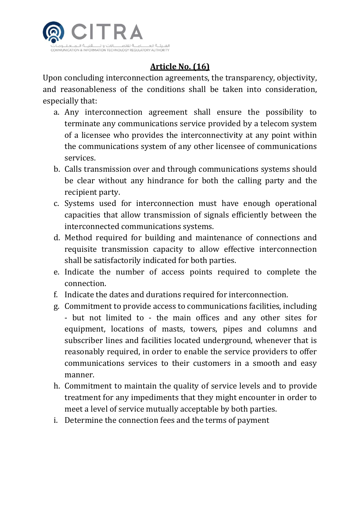

# **Article No. (16)**

Upon concluding interconnection agreements, the transparency, objectivity, and reasonableness of the conditions shall be taken into consideration, especially that:

- a. Any interconnection agreement shall ensure the possibility to terminate any communications service provided by a telecom system of a licensee who provides the interconnectivity at any point within the communications system of any other licensee of communications services.
- b. Calls transmission over and through communications systems should be clear without any hindrance for both the calling party and the recipient party.
- c. Systems used for interconnection must have enough operational capacities that allow transmission of signals efficiently between the interconnected communications systems.
- d. Method required for building and maintenance of connections and requisite transmission capacity to allow effective interconnection shall be satisfactorily indicated for both parties.
- e. Indicate the number of access points required to complete the connection.
- f. Indicate the dates and durations required for interconnection.
- g. Commitment to provide access to communications facilities, including - but not limited to - the main offices and any other sites for equipment, locations of masts, towers, pipes and columns and subscriber lines and facilities located underground, whenever that is reasonably required, in order to enable the service providers to offer communications services to their customers in a smooth and easy manner.
- h. Commitment to maintain the quality of service levels and to provide treatment for any impediments that they might encounter in order to meet a level of service mutually acceptable by both parties.
- i. Determine the connection fees and the terms of payment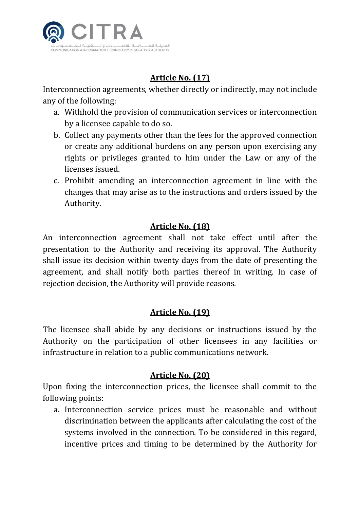

# **Article No. (17)**

Interconnection agreements, whether directly or indirectly, may not include any of the following:

- a. Withhold the provision of communication services or interconnection by a licensee capable to do so.
- b. Collect any payments other than the fees for the approved connection or create any additional burdens on any person upon exercising any rights or privileges granted to him under the Law or any of the licenses issued.
- c. Prohibit amending an interconnection agreement in line with the changes that may arise as to the instructions and orders issued by the Authority.

#### **Article No. (18)**

An interconnection agreement shall not take effect until after the presentation to the Authority and receiving its approval. The Authority shall issue its decision within twenty days from the date of presenting the agreement, and shall notify both parties thereof in writing. In case of rejection decision, the Authority will provide reasons.

#### **Article No. (19)**

The licensee shall abide by any decisions or instructions issued by the Authority on the participation of other licensees in any facilities or infrastructure in relation to a public communications network.

#### **Article No. (20)**

Upon fixing the interconnection prices, the licensee shall commit to the following points:

a. Interconnection service prices must be reasonable and without discrimination between the applicants after calculating the cost of the systems involved in the connection. To be considered in this regard, incentive prices and timing to be determined by the Authority for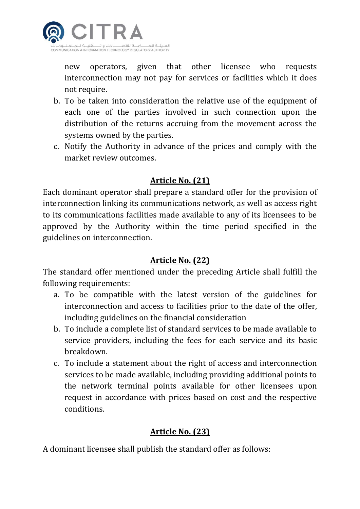

new operators, given that other licensee who requests interconnection may not pay for services or facilities which it does not require.

- b. To be taken into consideration the relative use of the equipment of each one of the parties involved in such connection upon the distribution of the returns accruing from the movement across the systems owned by the parties.
- c. Notify the Authority in advance of the prices and comply with the market review outcomes.

#### **Article No. (21)**

Each dominant operator shall prepare a standard offer for the provision of interconnection linking its communications network, as well as access right to its communications facilities made available to any of its licensees to be approved by the Authority within the time period specified in the guidelines on interconnection.

#### **Article No. (22)**

The standard offer mentioned under the preceding Article shall fulfill the following requirements:

- a. To be compatible with the latest version of the guidelines for interconnection and access to facilities prior to the date of the offer, including guidelines on the financial consideration
- b. To include a complete list of standard services to be made available to service providers, including the fees for each service and its basic breakdown.
- c. To include a statement about the right of access and interconnection services to be made available, including providing additional points to the network terminal points available for other licensees upon request in accordance with prices based on cost and the respective conditions.

#### **Article No. (23)**

A dominant licensee shall publish the standard offer as follows: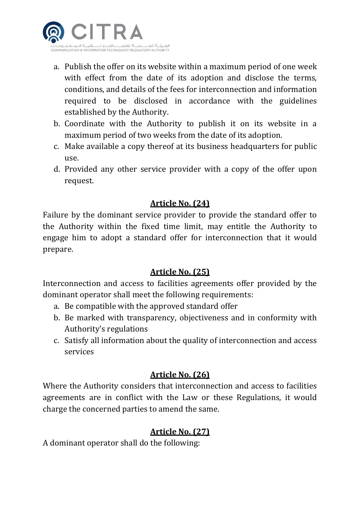

- a. Publish the offer on its website within a maximum period of one week with effect from the date of its adoption and disclose the terms, conditions, and details of the fees for interconnection and information required to be disclosed in accordance with the guidelines established by the Authority.
- b. Coordinate with the Authority to publish it on its website in a maximum period of two weeks from the date of its adoption.
- c. Make available a copy thereof at its business headquarters for public use.
- d. Provided any other service provider with a copy of the offer upon request.

#### **Article No. (24)**

Failure by the dominant service provider to provide the standard offer to the Authority within the fixed time limit, may entitle the Authority to engage him to adopt a standard offer for interconnection that it would prepare.

#### **Article No. (25)**

Interconnection and access to facilities agreements offer provided by the dominant operator shall meet the following requirements:

- a. Be compatible with the approved standard offer
- b. Be marked with transparency, objectiveness and in conformity with Authority's regulations
- c. Satisfy all information about the quality of interconnection and access services

#### **Article No. (26)**

Where the Authority considers that interconnection and access to facilities agreements are in conflict with the Law or these Regulations, it would charge the concerned parties to amend the same.

#### **Article No. (27)**

A dominant operator shall do the following: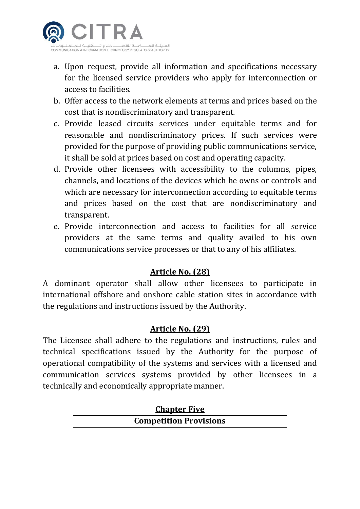

- a. Upon request, provide all information and specifications necessary for the licensed service providers who apply for interconnection or access to facilities.
- b. Offer access to the network elements at terms and prices based on the cost that is nondiscriminatory and transparent.
- c. Provide leased circuits services under equitable terms and for reasonable and nondiscriminatory prices. If such services were provided for the purpose of providing public communications service, it shall be sold at prices based on cost and operating capacity.
- d. Provide other licensees with accessibility to the columns, pipes, channels, and locations of the devices which he owns or controls and which are necessary for interconnection according to equitable terms and prices based on the cost that are nondiscriminatory and transparent.
- e. Provide interconnection and access to facilities for all service providers at the same terms and quality availed to his own communications service processes or that to any of his affiliates.

#### **Article No. (28)**

A dominant operator shall allow other licensees to participate in international offshore and onshore cable station sites in accordance with the regulations and instructions issued by the Authority.

#### **Article No. (29)**

The Licensee shall adhere to the regulations and instructions, rules and technical specifications issued by the Authority for the purpose of operational compatibility of the systems and services with a licensed and communication services systems provided by other licensees in a technically and economically appropriate manner.

# **Chapter Five Competition Provisions**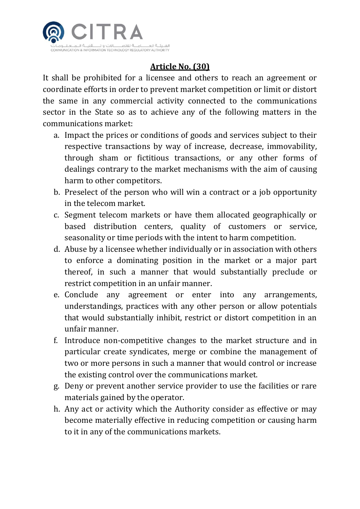

# **Article No. (30)**

It shall be prohibited for a licensee and others to reach an agreement or coordinate efforts in order to prevent market competition or limit or distort the same in any commercial activity connected to the communications sector in the State so as to achieve any of the following matters in the communications market:

- a. Impact the prices or conditions of goods and services subject to their respective transactions by way of increase, decrease, immovability, through sham or fictitious transactions, or any other forms of dealings contrary to the market mechanisms with the aim of causing harm to other competitors.
- b. Preselect of the person who will win a contract or a job opportunity in the telecom market.
- c. Segment telecom markets or have them allocated geographically or based distribution centers, quality of customers or service, seasonality or time periods with the intent to harm competition.
- d. Abuse by a licensee whether individually or in association with others to enforce a dominating position in the market or a major part thereof, in such a manner that would substantially preclude or restrict competition in an unfair manner.
- e. Conclude any agreement or enter into any arrangements, understandings, practices with any other person or allow potentials that would substantially inhibit, restrict or distort competition in an unfair manner.
- f. Introduce non-competitive changes to the market structure and in particular create syndicates, merge or combine the management of two or more persons in such a manner that would control or increase the existing control over the communications market.
- g. Deny or prevent another service provider to use the facilities or rare materials gained by the operator.
- h. Any act or activity which the Authority consider as effective or may become materially effective in reducing competition or causing harm to it in any of the communications markets.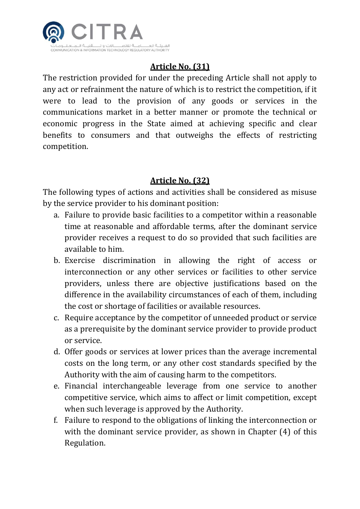

# **Article No. (31)**

The restriction provided for under the preceding Article shall not apply to any act or refrainment the nature of which is to restrict the competition, if it were to lead to the provision of any goods or services in the communications market in a better manner or promote the technical or economic progress in the State aimed at achieving specific and clear benefits to consumers and that outweighs the effects of restricting competition.

#### **Article No. (32)**

The following types of actions and activities shall be considered as misuse by the service provider to his dominant position:

- a. Failure to provide basic facilities to a competitor within a reasonable time at reasonable and affordable terms, after the dominant service provider receives a request to do so provided that such facilities are available to him.
- b. Exercise discrimination in allowing the right of access or interconnection or any other services or facilities to other service providers, unless there are objective justifications based on the difference in the availability circumstances of each of them, including the cost or shortage of facilities or available resources.
- c. Require acceptance by the competitor of unneeded product or service as a prerequisite by the dominant service provider to provide product or service.
- d. Offer goods or services at lower prices than the average incremental costs on the long term, or any other cost standards specified by the Authority with the aim of causing harm to the competitors.
- e. Financial interchangeable leverage from one service to another competitive service, which aims to affect or limit competition, except when such leverage is approved by the Authority.
- f. Failure to respond to the obligations of linking the interconnection or with the dominant service provider, as shown in Chapter (4) of this Regulation.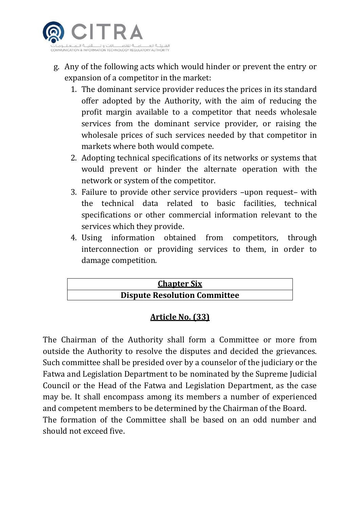

- g. Any of the following acts which would hinder or prevent the entry or expansion of a competitor in the market:
	- 1. The dominant service provider reduces the prices in its standard offer adopted by the Authority, with the aim of reducing the profit margin available to a competitor that needs wholesale services from the dominant service provider, or raising the wholesale prices of such services needed by that competitor in markets where both would compete.
	- 2. Adopting technical specifications of its networks or systems that would prevent or hinder the alternate operation with the network or system of the competitor.
	- 3. Failure to provide other service providers –upon request– with the technical data related to basic facilities, technical specifications or other commercial information relevant to the services which they provide.
	- 4. Using information obtained from competitors, through interconnection or providing services to them, in order to damage competition.



#### **Article No. (33)**

The Chairman of the Authority shall form a Committee or more from outside the Authority to resolve the disputes and decided the grievances. Such committee shall be presided over by a counselor of the judiciary or the Fatwa and Legislation Department to be nominated by the Supreme Judicial Council or the Head of the Fatwa and Legislation Department, as the case may be. It shall encompass among its members a number of experienced and competent members to be determined by the Chairman of the Board. The formation of the Committee shall be based on an odd number and should not exceed five.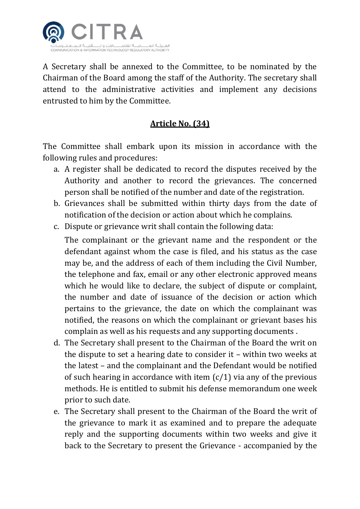

A Secretary shall be annexed to the Committee, to be nominated by the Chairman of the Board among the staff of the Authority. The secretary shall attend to the administrative activities and implement any decisions entrusted to him by the Committee.

#### **Article No. (34)**

The Committee shall embark upon its mission in accordance with the following rules and procedures:

- a. A register shall be dedicated to record the disputes received by the Authority and another to record the grievances. The concerned person shall be notified of the number and date of the registration.
- b. Grievances shall be submitted within thirty days from the date of notification of the decision or action about which he complains.
- c. Dispute or grievance writ shall contain the following data:

The complainant or the grievant name and the respondent or the defendant against whom the case is filed, and his status as the case may be, and the address of each of them including the Civil Number, the telephone and fax, email or any other electronic approved means which he would like to declare, the subject of dispute or complaint, the number and date of issuance of the decision or action which pertains to the grievance, the date on which the complainant was notified, the reasons on which the complainant or grievant bases his complain as well as his requests and any supporting documents .

- d. The Secretary shall present to the Chairman of the Board the writ on the dispute to set a hearing date to consider it – within two weeks at the latest – and the complainant and the Defendant would be notified of such hearing in accordance with item  $(c/1)$  via any of the previous methods. He is entitled to submit his defense memorandum one week prior to such date.
- e. The Secretary shall present to the Chairman of the Board the writ of the grievance to mark it as examined and to prepare the adequate reply and the supporting documents within two weeks and give it back to the Secretary to present the Grievance - accompanied by the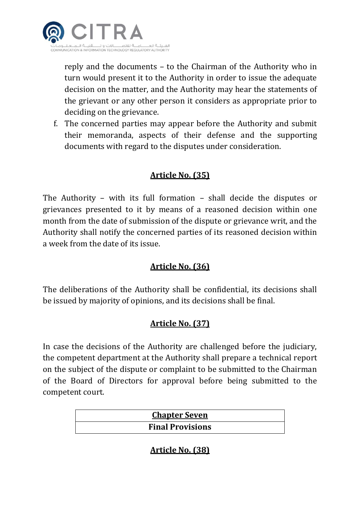

reply and the documents – to the Chairman of the Authority who in turn would present it to the Authority in order to issue the adequate decision on the matter, and the Authority may hear the statements of the grievant or any other person it considers as appropriate prior to deciding on the grievance.

f. The concerned parties may appear before the Authority and submit their memoranda, aspects of their defense and the supporting documents with regard to the disputes under consideration.

#### **Article No. (35)**

The Authority – with its full formation – shall decide the disputes or grievances presented to it by means of a reasoned decision within one month from the date of submission of the dispute or grievance writ, and the Authority shall notify the concerned parties of its reasoned decision within a week from the date of its issue.

## **Article No. (36)**

The deliberations of the Authority shall be confidential, its decisions shall be issued by majority of opinions, and its decisions shall be final.

## **Article No. (37)**

In case the decisions of the Authority are challenged before the judiciary, the competent department at the Authority shall prepare a technical report on the subject of the dispute or complaint to be submitted to the Chairman of the Board of Directors for approval before being submitted to the competent court.

| <b>Chapter Seven</b>    |  |
|-------------------------|--|
| <b>Final Provisions</b> |  |

#### **Article No. (38)**